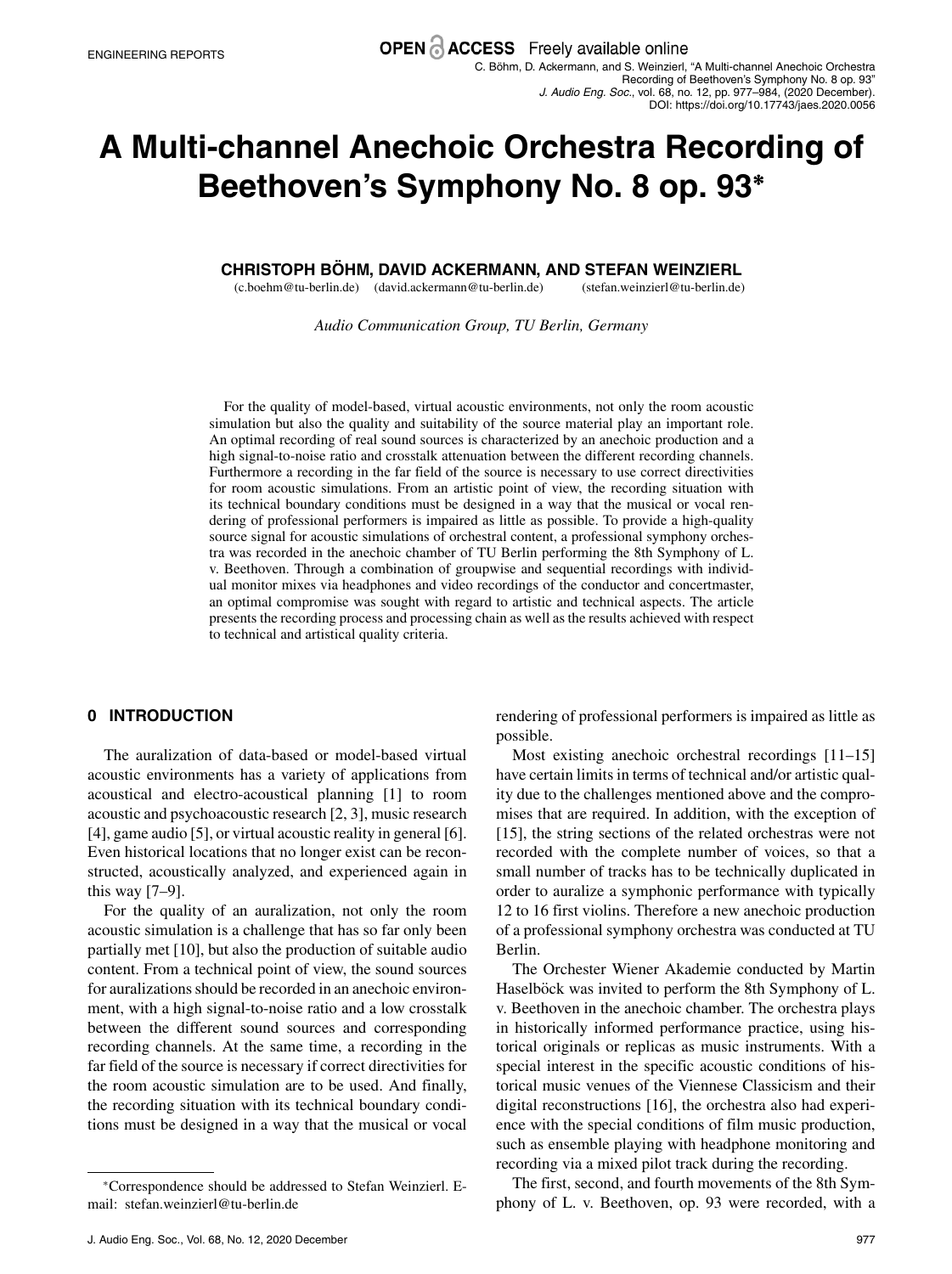# **A Multi-channel Anechoic Orchestra Recording of Beethoven's Symphony No. 8 op. 93<sup>∗</sup>**

# **CHRISTOPH BOHM ¨ , DAVID ACKERMANN , AND STEFAN WEINZIERL**

(c.boehm@tu-berlin.de) (david.ackermann@tu-berlin.de) (stefan.weinzierl@tu-berlin.de)

*Audio Communication Group, TU Berlin, Germany*

For the quality of model-based, virtual acoustic environments, not only the room acoustic simulation but also the quality and suitability of the source material play an important role. An optimal recording of real sound sources is characterized by an anechoic production and a high signal-to-noise ratio and crosstalk attenuation between the different recording channels. Furthermore a recording in the far field of the source is necessary to use correct directivities for room acoustic simulations. From an artistic point of view, the recording situation with its technical boundary conditions must be designed in a way that the musical or vocal rendering of professional performers is impaired as little as possible. To provide a high-quality source signal for acoustic simulations of orchestral content, a professional symphony orchestra was recorded in the anechoic chamber of TU Berlin performing the 8th Symphony of L. v. Beethoven. Through a combination of groupwise and sequential recordings with individual monitor mixes via headphones and video recordings of the conductor and concertmaster, an optimal compromise was sought with regard to artistic and technical aspects. The article presents the recording process and processing chain as well as the results achieved with respect to technical and artistical quality criteria.

# **0 INTRODUCTION**

The auralization of data-based or model-based virtual acoustic environments has a variety of applications from acoustical and electro-acoustical planning [1] to room acoustic and psychoacoustic research [2, 3], music research [4], game audio [5], or virtual acoustic reality in general [6]. Even historical locations that no longer exist can be reconstructed, acoustically analyzed, and experienced again in this way [7–9].

For the quality of an auralization, not only the room acoustic simulation is a challenge that has so far only been partially met [10], but also the production of suitable audio content. From a technical point of view, the sound sources for auralizations should be recorded in an anechoic environment, with a high signal-to-noise ratio and a low crosstalk between the different sound sources and corresponding recording channels. At the same time, a recording in the far field of the source is necessary if correct directivities for the room acoustic simulation are to be used. And finally, the recording situation with its technical boundary conditions must be designed in a way that the musical or vocal

rendering of professional performers is impaired as little as possible.

Most existing anechoic orchestral recordings [11–15] have certain limits in terms of technical and/or artistic quality due to the challenges mentioned above and the compromises that are required. In addition, with the exception of [15], the string sections of the related orchestras were not recorded with the complete number of voices, so that a small number of tracks has to be technically duplicated in order to auralize a symphonic performance with typically 12 to 16 first violins. Therefore a new anechoic production of a professional symphony orchestra was conducted at TU Berlin.

The Orchester Wiener Akademie conducted by Martin Haselböck was invited to perform the 8th Symphony of L. v. Beethoven in the anechoic chamber. The orchestra plays in historically informed performance practice, using historical originals or replicas as music instruments. With a special interest in the specific acoustic conditions of historical music venues of the Viennese Classicism and their digital reconstructions [16], the orchestra also had experience with the special conditions of film music production, such as ensemble playing with headphone monitoring and recording via a mixed pilot track during the recording.

The first, second, and fourth movements of the 8th Symphony of L. v. Beethoven, op. 93 were recorded, with a

<sup>∗</sup>Correspondence should be addressed to Stefan Weinzierl. Email: stefan.weinzierl@tu-berlin.de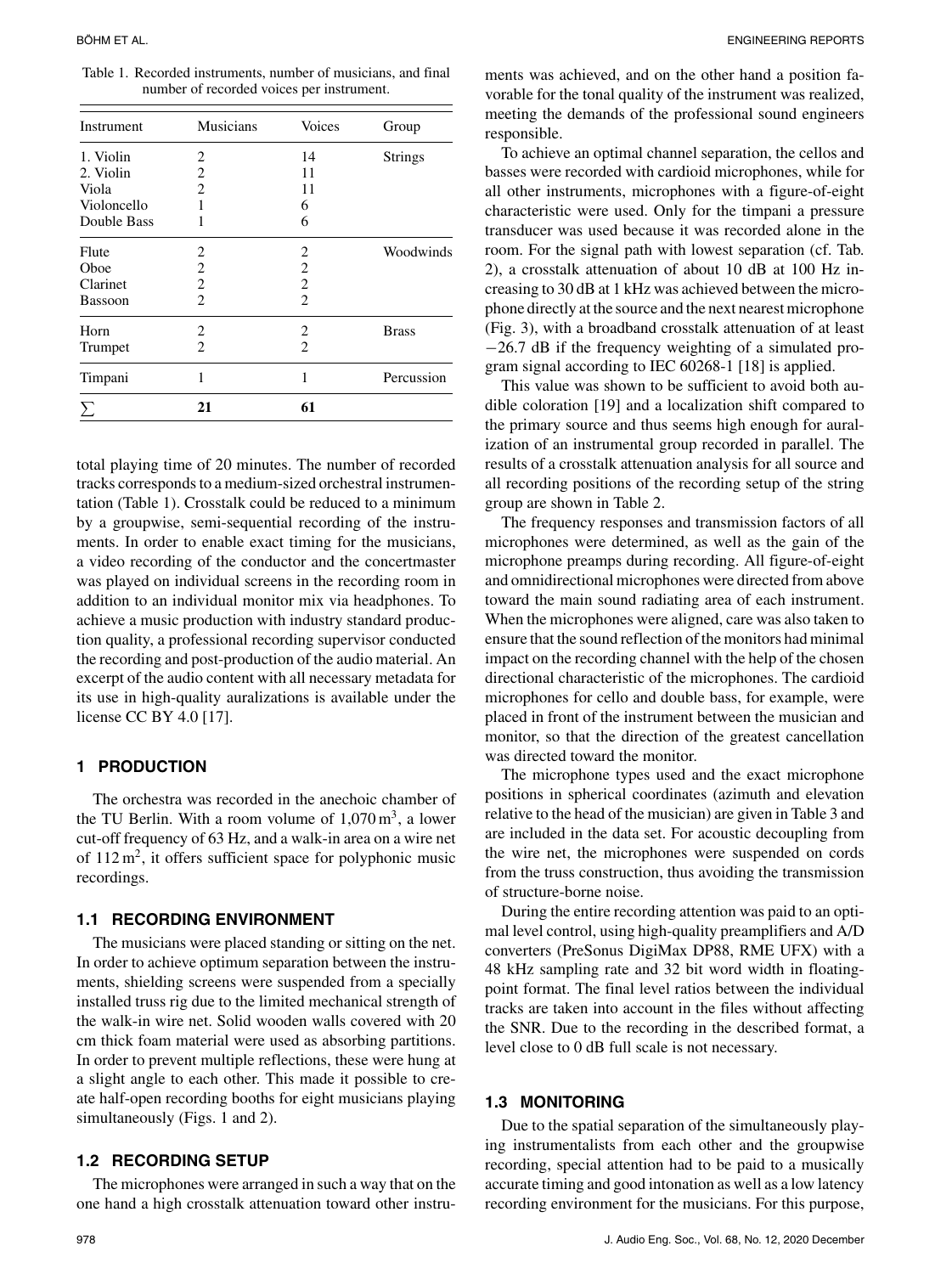Table 1. Recorded instruments, number of musicians, and final number of recorded voices per instrument.

| Instrument  | <b>Musicians</b> | <b>Voices</b>  | Group          |  |  |
|-------------|------------------|----------------|----------------|--|--|
| 1. Violin   | 2                | 14             | <b>Strings</b> |  |  |
| 2. Violin   | $\overline{2}$   | 11             |                |  |  |
| Viola       | $\overline{2}$   | 11             |                |  |  |
| Violoncello | 1                | 6              |                |  |  |
| Double Bass | 1                | 6              |                |  |  |
| Flute       | 2                | 2              | Woodwinds      |  |  |
| Oboe        | $\overline{c}$   | $\overline{2}$ |                |  |  |
| Clarinet    | $\overline{c}$   | $\overline{2}$ |                |  |  |
| Bassoon     | $\overline{c}$   | $\overline{2}$ |                |  |  |
| Horn        | 2                | 2              | <b>Brass</b>   |  |  |
| Trumpet     | 2                | $\overline{c}$ |                |  |  |
| Timpani     | 1                | 1              | Percussion     |  |  |
| Σ           | 21               | 61             |                |  |  |

total playing time of 20 minutes. The number of recorded tracks corresponds to a medium-sized orchestral instrumentation (Table 1). Crosstalk could be reduced to a minimum by a groupwise, semi-sequential recording of the instruments. In order to enable exact timing for the musicians, a video recording of the conductor and the concertmaster was played on individual screens in the recording room in addition to an individual monitor mix via headphones. To achieve a music production with industry standard production quality, a professional recording supervisor conducted the recording and post-production of the audio material. An excerpt of the audio content with all necessary metadata for its use in high-quality auralizations is available under the license CC BY 4.0 [17].

## **1 PRODUCTION**

The orchestra was recorded in the anechoic chamber of the TU Berlin. With a room volume of  $1.070 \,\mathrm{m}^3$ , a lower cut-off frequency of 63 Hz, and a walk-in area on a wire net of  $112 \text{ m}^2$ , it offers sufficient space for polyphonic music recordings.

#### **1.1 RECORDING ENVIRONMENT**

The musicians were placed standing or sitting on the net. In order to achieve optimum separation between the instruments, shielding screens were suspended from a specially installed truss rig due to the limited mechanical strength of the walk-in wire net. Solid wooden walls covered with 20 cm thick foam material were used as absorbing partitions. In order to prevent multiple reflections, these were hung at a slight angle to each other. This made it possible to create half-open recording booths for eight musicians playing simultaneously (Figs. 1 and 2).

#### **1.2 RECORDING SETUP**

The microphones were arranged in such a way that on the one hand a high crosstalk attenuation toward other instruments was achieved, and on the other hand a position favorable for the tonal quality of the instrument was realized, meeting the demands of the professional sound engineers responsible.

To achieve an optimal channel separation, the cellos and basses were recorded with cardioid microphones, while for all other instruments, microphones with a figure-of-eight characteristic were used. Only for the timpani a pressure transducer was used because it was recorded alone in the room. For the signal path with lowest separation (cf. Tab. 2), a crosstalk attenuation of about 10 dB at 100 Hz increasing to 30 dB at 1 kHz was achieved between the microphone directly at the source and the next nearest microphone (Fig. 3), with a broadband crosstalk attenuation of at least −26.7 dB if the frequency weighting of a simulated program signal according to IEC 60268-1 [18] is applied.

This value was shown to be sufficient to avoid both audible coloration [19] and a localization shift compared to the primary source and thus seems high enough for auralization of an instrumental group recorded in parallel. The results of a crosstalk attenuation analysis for all source and all recording positions of the recording setup of the string group are shown in Table 2.

The frequency responses and transmission factors of all microphones were determined, as well as the gain of the microphone preamps during recording. All figure-of-eight and omnidirectional microphones were directed from above toward the main sound radiating area of each instrument. When the microphones were aligned, care was also taken to ensure that the sound reflection of the monitors had minimal impact on the recording channel with the help of the chosen directional characteristic of the microphones. The cardioid microphones for cello and double bass, for example, were placed in front of the instrument between the musician and monitor, so that the direction of the greatest cancellation was directed toward the monitor.

The microphone types used and the exact microphone positions in spherical coordinates (azimuth and elevation relative to the head of the musician) are given in Table 3 and are included in the data set. For acoustic decoupling from the wire net, the microphones were suspended on cords from the truss construction, thus avoiding the transmission of structure-borne noise.

During the entire recording attention was paid to an optimal level control, using high-quality preamplifiers and A/D converters (PreSonus DigiMax DP88, RME UFX) with a 48 kHz sampling rate and 32 bit word width in floatingpoint format. The final level ratios between the individual tracks are taken into account in the files without affecting the SNR. Due to the recording in the described format, a level close to 0 dB full scale is not necessary.

#### **1.3 MONITORING**

Due to the spatial separation of the simultaneously playing instrumentalists from each other and the groupwise recording, special attention had to be paid to a musically accurate timing and good intonation as well as a low latency recording environment for the musicians. For this purpose,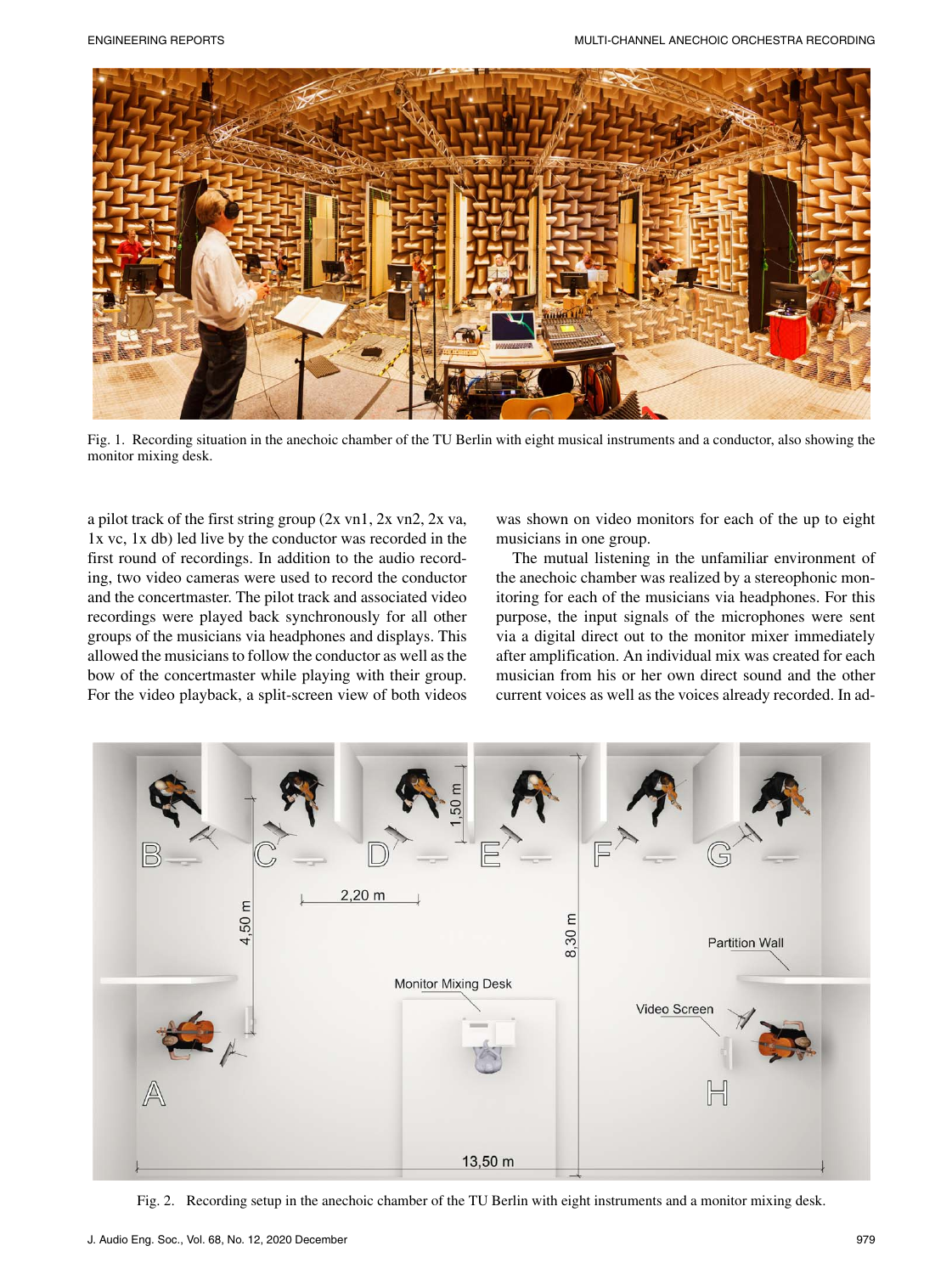

Fig. 1. Recording situation in the anechoic chamber of the TU Berlin with eight musical instruments and a conductor, also showing the monitor mixing desk.

a pilot track of the first string group (2x vn1, 2x vn2, 2x va, 1x vc, 1x db) led live by the conductor was recorded in the first round of recordings. In addition to the audio recording, two video cameras were used to record the conductor and the concertmaster. The pilot track and associated video recordings were played back synchronously for all other groups of the musicians via headphones and displays. This allowed the musicians to follow the conductor as well as the bow of the concertmaster while playing with their group. For the video playback, a split-screen view of both videos was shown on video monitors for each of the up to eight musicians in one group.

The mutual listening in the unfamiliar environment of the anechoic chamber was realized by a stereophonic monitoring for each of the musicians via headphones. For this purpose, the input signals of the microphones were sent via a digital direct out to the monitor mixer immediately after amplification. An individual mix was created for each musician from his or her own direct sound and the other current voices as well as the voices already recorded. In ad-



Fig. 2. Recording setup in the anechoic chamber of the TU Berlin with eight instruments and a monitor mixing desk.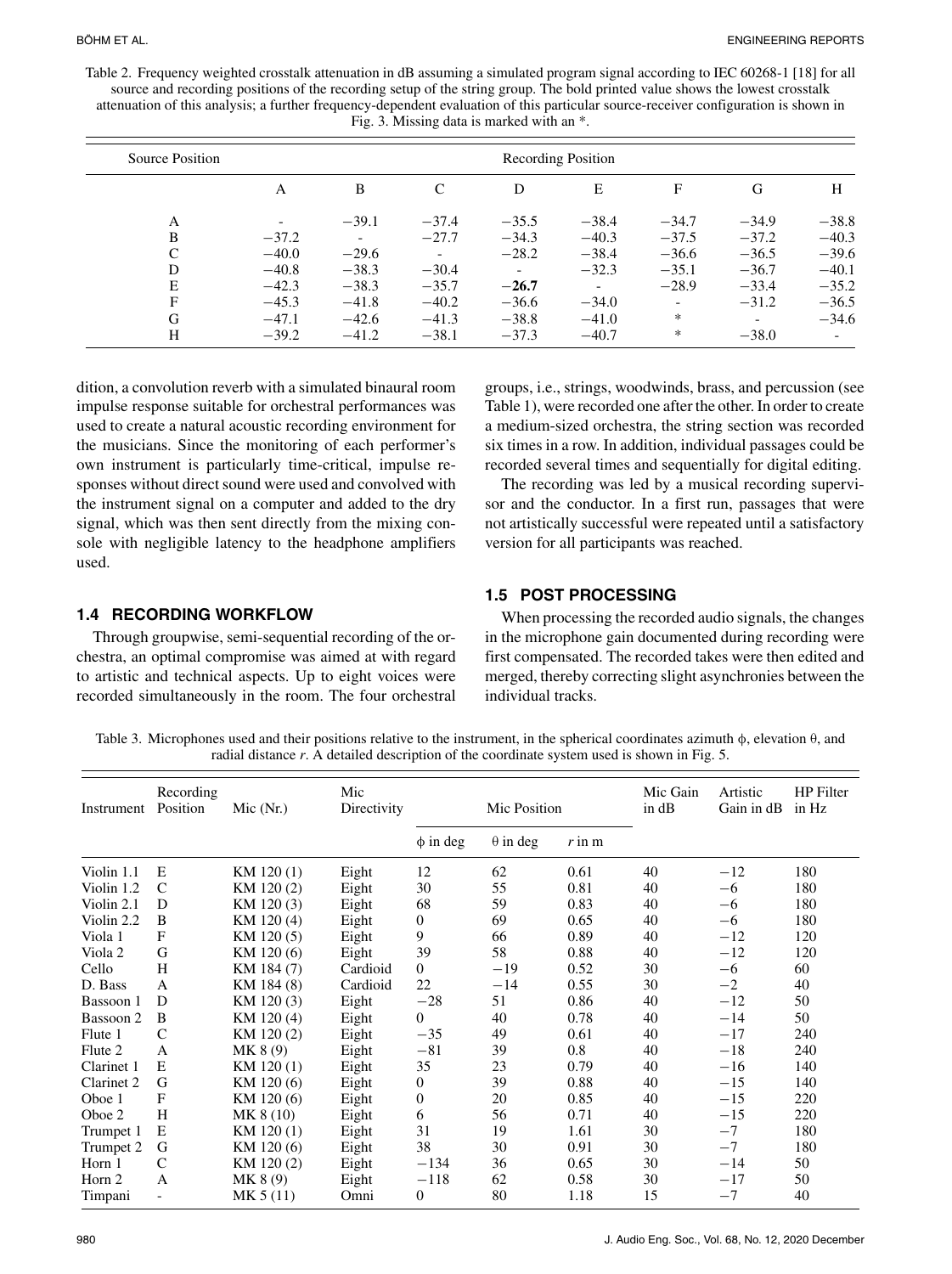Table 2. Frequency weighted crosstalk attenuation in dB assuming a simulated program signal according to IEC 60268-1 [18] for all source and recording positions of the recording setup of the string group. The bold printed value shows the lowest crosstalk attenuation of this analysis; a further frequency-dependent evaluation of this particular source-receiver configuration is shown in Fig. 3. Missing data is marked with an \*.

| Source Position | Recording Position       |                          |                          |              |         |                          |         |                          |
|-----------------|--------------------------|--------------------------|--------------------------|--------------|---------|--------------------------|---------|--------------------------|
|                 | A                        | B                        | C                        | D            | E       | F                        | G       | Н                        |
| A               | $\overline{\phantom{0}}$ | $-39.1$                  | $-37.4$                  | $-35.5$      | $-38.4$ | $-34.7$                  | $-34.9$ | $-38.8$                  |
| B               | $-37.2$                  | $\overline{\phantom{0}}$ | $-27.7$                  | $-34.3$      | $-40.3$ | $-37.5$                  | $-37.2$ | $-40.3$                  |
| C               | $-40.0$                  | $-29.6$                  | $\overline{\phantom{a}}$ | $-28.2$      | $-38.4$ | $-36.6$                  | $-36.5$ | $-39.6$                  |
| D               | $-40.8$                  | $-38.3$                  | $-30.4$                  | $\mathbf{r}$ | $-32.3$ | $-35.1$                  | $-36.7$ | $-40.1$                  |
| E               | $-42.3$                  | $-38.3$                  | $-35.7$                  | $-26.7$      | $\sim$  | $-28.9$                  | $-33.4$ | $-35.2$                  |
| F               | $-45.3$                  | $-41.8$                  | $-40.2$                  | $-36.6$      | $-34.0$ | $\overline{\phantom{a}}$ | $-31.2$ | $-36.5$                  |
| G               | $-47.1$                  | $-42.6$                  | $-41.3$                  | $-38.8$      | $-41.0$ | $\ast$                   |         | $-34.6$                  |
| H               | $-39.2$                  | $-41.2$                  | $-38.1$                  | $-37.3$      | $-40.7$ | $\ast$                   | $-38.0$ | $\overline{\phantom{a}}$ |

dition, a convolution reverb with a simulated binaural room impulse response suitable for orchestral performances was used to create a natural acoustic recording environment for the musicians. Since the monitoring of each performer's own instrument is particularly time-critical, impulse responses without direct sound were used and convolved with the instrument signal on a computer and added to the dry signal, which was then sent directly from the mixing console with negligible latency to the headphone amplifiers used.

groups, i.e., strings, woodwinds, brass, and percussion (see Table 1), were recorded one after the other. In order to create a medium-sized orchestra, the string section was recorded six times in a row. In addition, individual passages could be recorded several times and sequentially for digital editing.

The recording was led by a musical recording supervisor and the conductor. In a first run, passages that were not artistically successful were repeated until a satisfactory version for all participants was reached.

## **1.4 RECORDING WORKFLOW**

Through groupwise, semi-sequential recording of the orchestra, an optimal compromise was aimed at with regard to artistic and technical aspects. Up to eight voices were recorded simultaneously in the room. The four orchestral

# **1.5 POST PROCESSING**

When processing the recorded audio signals, the changes in the microphone gain documented during recording were first compensated. The recorded takes were then edited and merged, thereby correcting slight asynchronies between the individual tracks.

Table 3. Microphones used and their positions relative to the instrument, in the spherical coordinates azimuth φ, elevation θ, and radial distance *r*. A detailed description of the coordinate system used is shown in Fig. 5.

| Instrument | Recording<br>Position | Mic $(Nr.)$ | Mic<br>Directivity | Mic Position     |                 | Mic Gain<br>in dB | Artistic<br>Gain in dB | <b>HP</b> Filter<br>in Hz |     |
|------------|-----------------------|-------------|--------------------|------------------|-----------------|-------------------|------------------------|---------------------------|-----|
|            |                       |             |                    | $\phi$ in deg    | $\theta$ in deg | $r$ in $m$        |                        |                           |     |
| Violin 1.1 | Е                     | KM 120(1)   | Eight              | 12               | 62              | 0.61              | 40                     | $-12$                     | 180 |
| Violin 1.2 | $\mathsf{C}$          | KM 120(2)   | Eight              | 30               | 55              | 0.81              | 40                     | $-6$                      | 180 |
| Violin 2.1 | D                     | KM 120(3)   | Eight              | 68               | 59              | 0.83              | 40                     | $-6$                      | 180 |
| Violin 2.2 | B                     | KM 120(4)   | Eight              | 0                | 69              | 0.65              | 40                     | $-6$                      | 180 |
| Viola 1    | F                     | KM 120(5)   | Eight              | 9                | 66              | 0.89              | 40                     | $-12$                     | 120 |
| Viola 2    | G                     | KM 120 (6)  | Eight              | 39               | 58              | 0.88              | 40                     | $-12$                     | 120 |
| Cello      | H                     | KM 184 (7)  | Cardioid           | $\boldsymbol{0}$ | $-19$           | 0.52              | 30                     | $-6$                      | 60  |
| D. Bass    | A                     | KM 184 (8)  | Cardioid           | 22               | $-14$           | 0.55              | 30                     | $-2$                      | 40  |
| Bassoon 1  | D                     | KM 120(3)   | Eight              | $-28$            | 51              | 0.86              | 40                     | $-12$                     | 50  |
| Bassoon 2  | B                     | KM 120(4)   | Eight              | $\overline{0}$   | 40              | 0.78              | 40                     | $-14$                     | 50  |
| Flute 1    | $\mathcal{C}$         | KM 120(2)   | Eight              | $-35$            | 49              | 0.61              | 40                     | $-17$                     | 240 |
| Flute 2    | A                     | MK 8(9)     | Eight              | $-81$            | 39              | 0.8               | 40                     | $-18$                     | 240 |
| Clarinet 1 | E                     | KM 120(1)   | Eight              | 35               | 23              | 0.79              | 40                     | $-16$                     | 140 |
| Clarinet 2 | G                     | KM 120 (6)  | Eight              | 0                | 39              | 0.88              | 40                     | $-15$                     | 140 |
| Oboe 1     | F                     | KM 120 (6)  | Eight              | 0                | 20              | 0.85              | 40                     | $-15$                     | 220 |
| Oboe 2     | H                     | MK 8 (10)   | Eight              | 6                | 56              | 0.71              | 40                     | $-15$                     | 220 |
| Trumpet 1  | Е                     | KM 120(1)   | Eight              | 31               | 19              | 1.61              | 30                     | $-7$                      | 180 |
| Trumpet 2  | G                     | KM 120 (6)  | Eight              | 38               | 30              | 0.91              | 30                     | $-7$                      | 180 |
| Horn 1     | C                     | KM 120(2)   | Eight              | $-134$           | 36              | 0.65              | 30                     | $-14$                     | 50  |
| Horn 2     | A                     | MK 8(9)     | Eight              | $-118$           | 62              | 0.58              | 30                     | $-17$                     | 50  |
| Timpani    |                       | MK 5 (11)   | Omni               | 0                | 80              | 1.18              | 15                     | $-7$                      | 40  |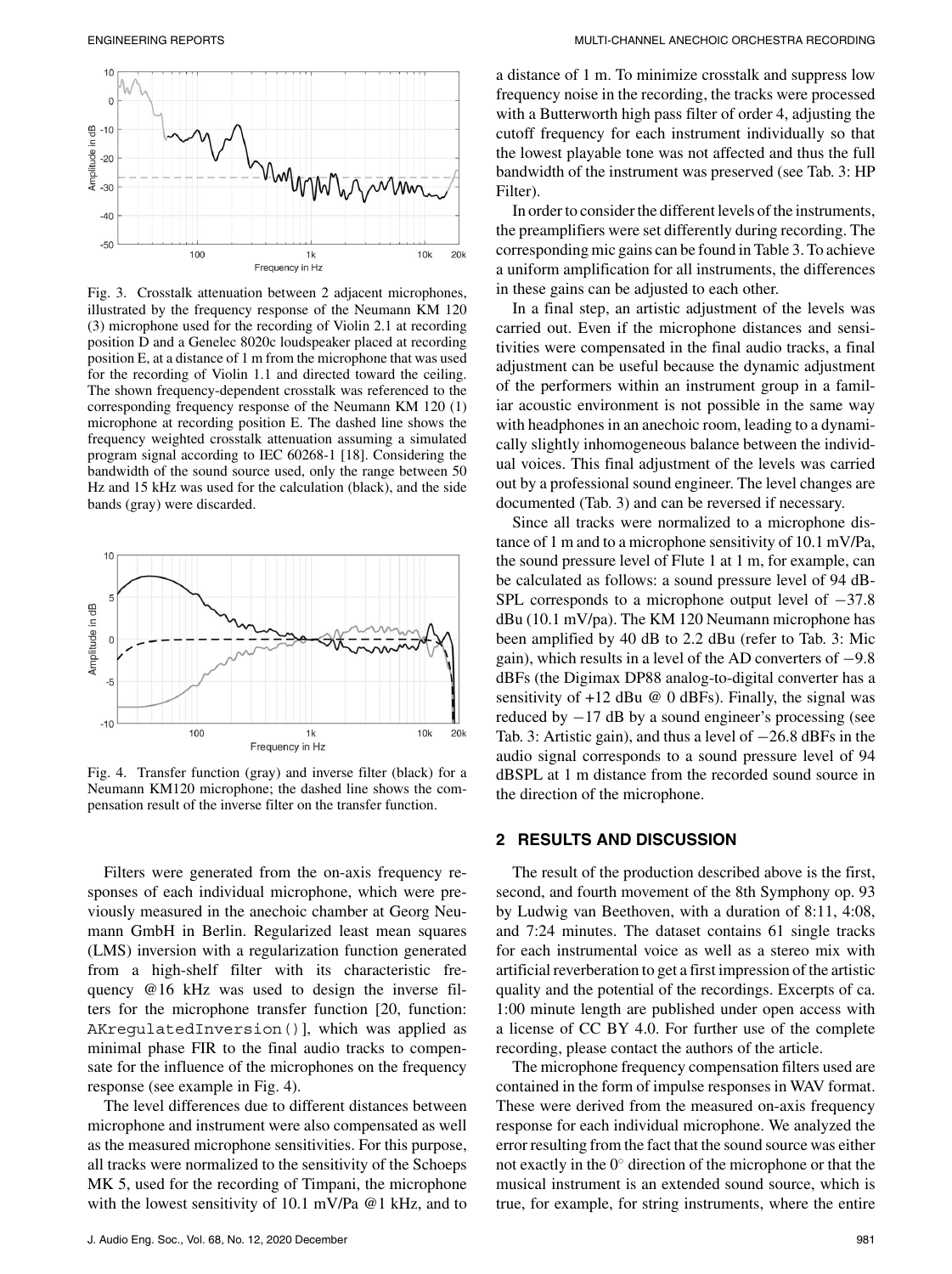

Fig. 3. Crosstalk attenuation between 2 adjacent microphones, illustrated by the frequency response of the Neumann KM 120 (3) microphone used for the recording of Violin 2.1 at recording position D and a Genelec 8020c loudspeaker placed at recording position E, at a distance of 1 m from the microphone that was used for the recording of Violin 1.1 and directed toward the ceiling. The shown frequency-dependent crosstalk was referenced to the corresponding frequency response of the Neumann KM 120 (1) microphone at recording position E. The dashed line shows the frequency weighted crosstalk attenuation assuming a simulated program signal according to IEC 60268-1 [18]. Considering the bandwidth of the sound source used, only the range between 50 Hz and 15 kHz was used for the calculation (black), and the side bands (gray) were discarded.



Fig. 4. Transfer function (gray) and inverse filter (black) for a Neumann KM120 microphone; the dashed line shows the compensation result of the inverse filter on the transfer function.

Filters were generated from the on-axis frequency responses of each individual microphone, which were previously measured in the anechoic chamber at Georg Neumann GmbH in Berlin. Regularized least mean squares (LMS) inversion with a regularization function generated from a high-shelf filter with its characteristic frequency @16 kHz was used to design the inverse filters for the microphone transfer function [20, function: AKregulatedInversion()], which was applied as minimal phase FIR to the final audio tracks to compensate for the influence of the microphones on the frequency response (see example in Fig. 4).

The level differences due to different distances between microphone and instrument were also compensated as well as the measured microphone sensitivities. For this purpose, all tracks were normalized to the sensitivity of the Schoeps MK 5, used for the recording of Timpani, the microphone with the lowest sensitivity of 10.1 mV/Pa @1 kHz, and to a distance of 1 m. To minimize crosstalk and suppress low frequency noise in the recording, the tracks were processed with a Butterworth high pass filter of order 4, adjusting the cutoff frequency for each instrument individually so that the lowest playable tone was not affected and thus the full bandwidth of the instrument was preserved (see Tab. 3: HP Filter).

In order to consider the different levels of the instruments, the preamplifiers were set differently during recording. The corresponding mic gains can be found in Table 3. To achieve a uniform amplification for all instruments, the differences in these gains can be adjusted to each other.

In a final step, an artistic adjustment of the levels was carried out. Even if the microphone distances and sensitivities were compensated in the final audio tracks, a final adjustment can be useful because the dynamic adjustment of the performers within an instrument group in a familiar acoustic environment is not possible in the same way with headphones in an anechoic room, leading to a dynamically slightly inhomogeneous balance between the individual voices. This final adjustment of the levels was carried out by a professional sound engineer. The level changes are documented (Tab. 3) and can be reversed if necessary.

Since all tracks were normalized to a microphone distance of 1 m and to a microphone sensitivity of 10.1 mV/Pa, the sound pressure level of Flute 1 at 1 m, for example, can be calculated as follows: a sound pressure level of 94 dB-SPL corresponds to a microphone output level of −37.8 dBu (10.1 mV/pa). The KM 120 Neumann microphone has been amplified by 40 dB to 2.2 dBu (refer to Tab. 3: Mic gain), which results in a level of the AD converters of −9.8 dBFs (the Digimax DP88 analog-to-digital converter has a sensitivity of  $+12$  dBu @ 0 dBFs). Finally, the signal was reduced by  $-17$  dB by a sound engineer's processing (see Tab. 3: Artistic gain), and thus a level of −26.8 dBFs in the audio signal corresponds to a sound pressure level of 94 dBSPL at 1 m distance from the recorded sound source in the direction of the microphone.

#### **2 RESULTS AND DISCUSSION**

The result of the production described above is the first, second, and fourth movement of the 8th Symphony op. 93 by Ludwig van Beethoven, with a duration of 8:11, 4:08, and 7:24 minutes. The dataset contains 61 single tracks for each instrumental voice as well as a stereo mix with artificial reverberation to get a first impression of the artistic quality and the potential of the recordings. Excerpts of ca. 1:00 minute length are published under open access with a license of CC BY 4.0. For further use of the complete recording, please contact the authors of the article.

The microphone frequency compensation filters used are contained in the form of impulse responses in WAV format. These were derived from the measured on-axis frequency response for each individual microphone. We analyzed the error resulting from the fact that the sound source was either not exactly in the  $0°$  direction of the microphone or that the musical instrument is an extended sound source, which is true, for example, for string instruments, where the entire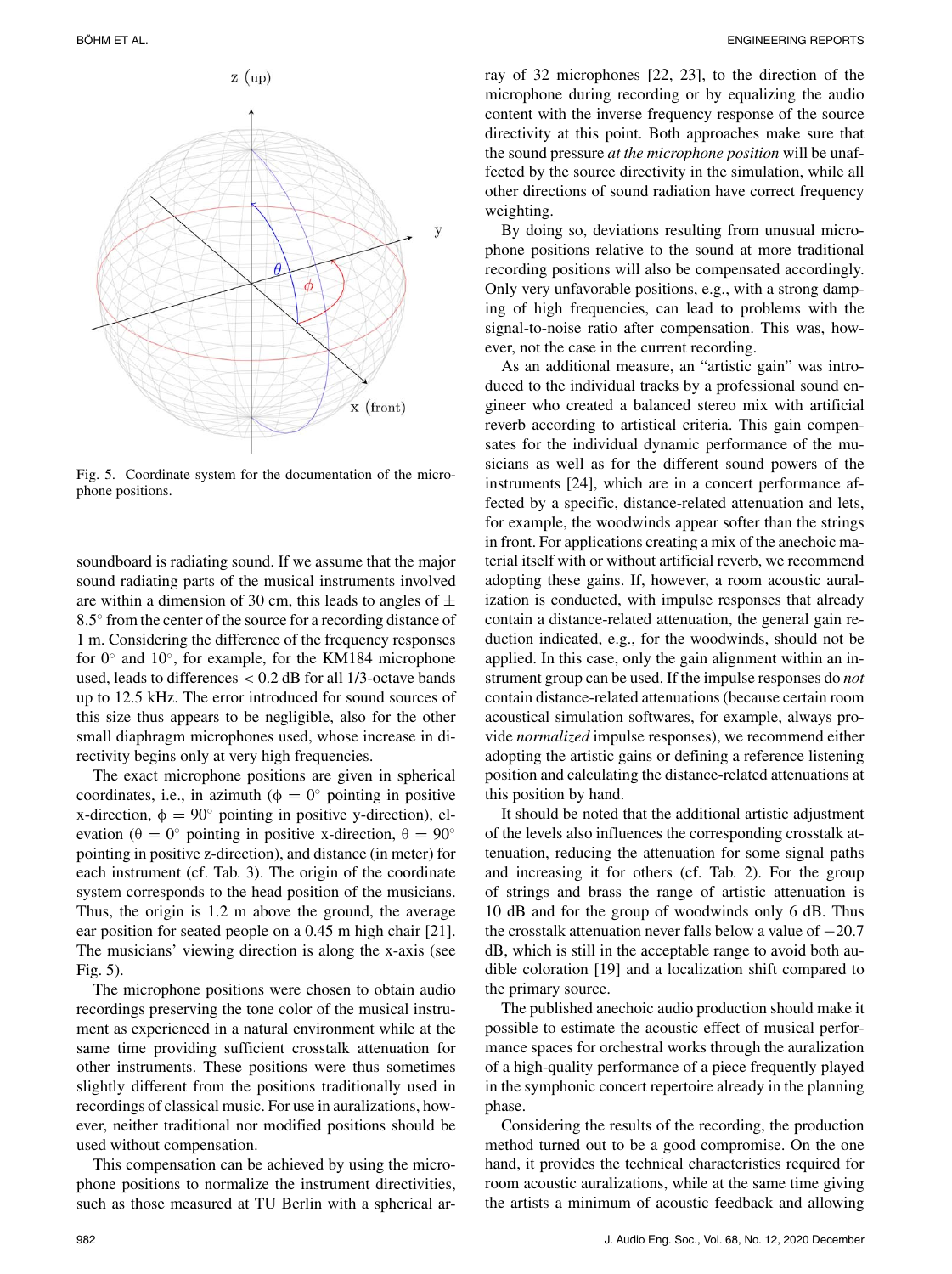

Fig. 5. Coordinate system for the documentation of the microphone positions.

soundboard is radiating sound. If we assume that the major sound radiating parts of the musical instruments involved are within a dimension of 30 cm, this leads to angles of  $\pm$ 8.5◦ from the center of the source for a recording distance of 1 m. Considering the difference of the frequency responses for 0◦ and 10◦, for example, for the KM184 microphone used, leads to differences  $< 0.2$  dB for all 1/3-octave bands up to 12.5 kHz. The error introduced for sound sources of this size thus appears to be negligible, also for the other small diaphragm microphones used, whose increase in directivity begins only at very high frequencies.

The exact microphone positions are given in spherical coordinates, i.e., in azimuth ( $\phi = 0^{\circ}$  pointing in positive x-direction,  $\phi = 90^\circ$  pointing in positive y-direction), elevation ( $\theta = 0^\circ$  pointing in positive x-direction,  $\theta = 90^\circ$ pointing in positive z-direction), and distance (in meter) for each instrument (cf. Tab. 3). The origin of the coordinate system corresponds to the head position of the musicians. Thus, the origin is 1.2 m above the ground, the average ear position for seated people on a 0.45 m high chair [21]. The musicians' viewing direction is along the x-axis (see Fig. 5).

The microphone positions were chosen to obtain audio recordings preserving the tone color of the musical instrument as experienced in a natural environment while at the same time providing sufficient crosstalk attenuation for other instruments. These positions were thus sometimes slightly different from the positions traditionally used in recordings of classical music. For use in auralizations, however, neither traditional nor modified positions should be used without compensation.

This compensation can be achieved by using the microphone positions to normalize the instrument directivities, such as those measured at TU Berlin with a spherical array of 32 microphones [22, 23], to the direction of the microphone during recording or by equalizing the audio content with the inverse frequency response of the source directivity at this point. Both approaches make sure that the sound pressure *at the microphone position* will be unaffected by the source directivity in the simulation, while all other directions of sound radiation have correct frequency weighting.

By doing so, deviations resulting from unusual microphone positions relative to the sound at more traditional recording positions will also be compensated accordingly. Only very unfavorable positions, e.g., with a strong damping of high frequencies, can lead to problems with the signal-to-noise ratio after compensation. This was, however, not the case in the current recording.

As an additional measure, an "artistic gain" was introduced to the individual tracks by a professional sound engineer who created a balanced stereo mix with artificial reverb according to artistical criteria. This gain compensates for the individual dynamic performance of the musicians as well as for the different sound powers of the instruments [24], which are in a concert performance affected by a specific, distance-related attenuation and lets, for example, the woodwinds appear softer than the strings in front. For applications creating a mix of the anechoic material itself with or without artificial reverb, we recommend adopting these gains. If, however, a room acoustic auralization is conducted, with impulse responses that already contain a distance-related attenuation, the general gain reduction indicated, e.g., for the woodwinds, should not be applied. In this case, only the gain alignment within an instrument group can be used. If the impulse responses do *not* contain distance-related attenuations (because certain room acoustical simulation softwares, for example, always provide *normalized* impulse responses), we recommend either adopting the artistic gains or defining a reference listening position and calculating the distance-related attenuations at this position by hand.

It should be noted that the additional artistic adjustment of the levels also influences the corresponding crosstalk attenuation, reducing the attenuation for some signal paths and increasing it for others (cf. Tab. 2). For the group of strings and brass the range of artistic attenuation is 10 dB and for the group of woodwinds only 6 dB. Thus the crosstalk attenuation never falls below a value of −20.7 dB, which is still in the acceptable range to avoid both audible coloration [19] and a localization shift compared to the primary source.

The published anechoic audio production should make it possible to estimate the acoustic effect of musical performance spaces for orchestral works through the auralization of a high-quality performance of a piece frequently played in the symphonic concert repertoire already in the planning phase.

Considering the results of the recording, the production method turned out to be a good compromise. On the one hand, it provides the technical characteristics required for room acoustic auralizations, while at the same time giving the artists a minimum of acoustic feedback and allowing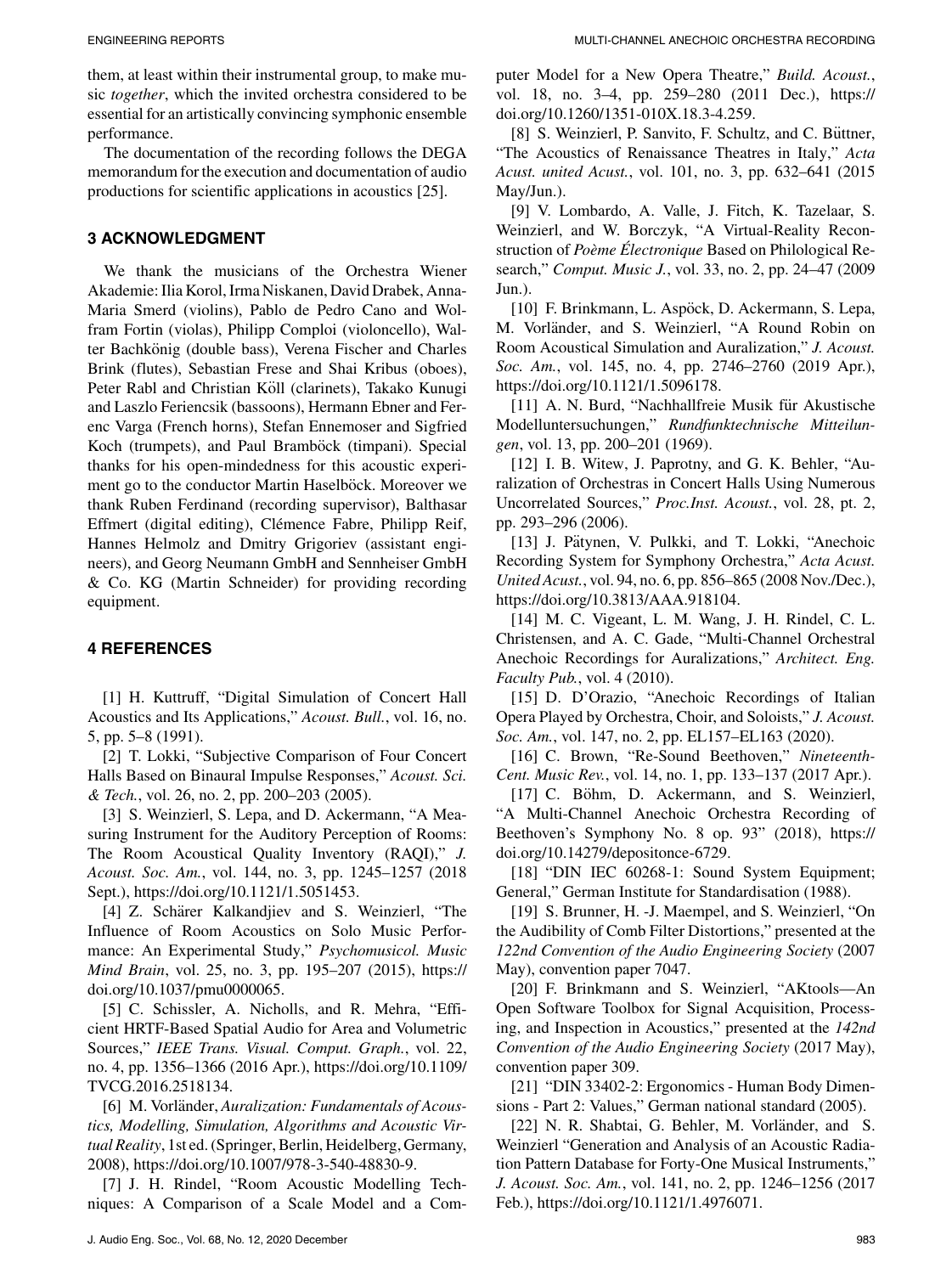The documentation of the recording follows the DEGA memorandum for the execution and documentation of audio productions for scientific applications in acoustics [25].

# **3 ACKNOWLEDGMENT**

We thank the musicians of the Orchestra Wiener Akademie: Ilia Korol, Irma Niskanen, David Drabek, Anna-Maria Smerd (violins), Pablo de Pedro Cano and Wolfram Fortin (violas), Philipp Comploi (violoncello), Walter Bachkönig (double bass), Verena Fischer and Charles Brink (flutes), Sebastian Frese and Shai Kribus (oboes), Peter Rabl and Christian Köll (clarinets), Takako Kunugi and Laszlo Feriencsik (bassoons), Hermann Ebner and Ferenc Varga (French horns), Stefan Ennemoser and Sigfried Koch (trumpets), and Paul Bramböck (timpani). Special thanks for his open-mindedness for this acoustic experiment go to the conductor Martin Haselböck. Moreover we thank Ruben Ferdinand (recording supervisor), Balthasar Effmert (digital editing), Clémence Fabre, Philipp Reif, Hannes Helmolz and Dmitry Grigoriev (assistant engineers), and Georg Neumann GmbH and Sennheiser GmbH & Co. KG (Martin Schneider) for providing recording equipment.

# **4 REFERENCES**

[1] H. Kuttruff, "Digital Simulation of Concert Hall Acoustics and Its Applications," *Acoust. Bull.*, vol. 16, no. 5, pp. 5–8 (1991).

[2] T. Lokki, "Subjective Comparison of Four Concert Halls Based on Binaural Impulse Responses," *Acoust. Sci. & Tech.*, vol. 26, no. 2, pp. 200–203 (2005).

[3] S. Weinzierl, S. Lepa, and D. Ackermann, "A Measuring Instrument for the Auditory Perception of Rooms: The Room Acoustical Quality Inventory (RAQI)," *J. Acoust. Soc. Am.*, vol. 144, no. 3, pp. 1245–1257 (2018 Sept.), [https://doi.org/10.1121/1.5051453.](https://doi.org/10.1121/1.5051453)

[4] Z. Schärer Kalkandjiev and S. Weinzierl, "The Influence of Room Acoustics on Solo Music Performance: An Experimental Study," *Psychomusicol. Music Mind Brain*, vol. 25, no. 3, pp. 195–207 (2015), [https://](https://doi.org/10.1037/pmu0000065) [doi.org/10.1037/pmu0000065.](https://doi.org/10.1037/pmu0000065)

[5] C. Schissler, A. Nicholls, and R. Mehra, "Efficient HRTF-Based Spatial Audio for Area and Volumetric Sources," *IEEE Trans. Visual. Comput. Graph.*, vol. 22, no. 4, pp. 1356–1366 (2016 Apr.), [https://doi.org/10.1109/](https://doi.org/10.1109/TVCG.2016.2518134) [TVCG.2016.2518134.](https://doi.org/10.1109/TVCG.2016.2518134)

[6] M. Vorländer, Auralization: Fundamentals of Acous*tics, Modelling, Simulation, Algorithms and Acoustic Virtual Reality*, 1st ed. (Springer, Berlin, Heidelberg, Germany, 2008), [https://doi.org/10.1007/978-3-540-48830-9.](https://doi.org/10.1007/978-3-540-48830-9)

[7] J. H. Rindel, "Room Acoustic Modelling Techniques: A Comparison of a Scale Model and a Computer Model for a New Opera Theatre," *Build. Acoust.*, vol. 18, no. 3–4, pp. 259–280 (2011 Dec.), [https://](https://doi.org/10.1260/1351-010X.18.3-4.259) [doi.org/10.1260/1351-010X.18.3-4.259.](https://doi.org/10.1260/1351-010X.18.3-4.259)

[8] S. Weinzierl, P. Sanvito, F. Schultz, and C. Büttner, "The Acoustics of Renaissance Theatres in Italy," *Acta Acust. united Acust.*, vol. 101, no. 3, pp. 632–641 (2015 May/Jun.).

[9] V. Lombardo, A. Valle, J. Fitch, K. Tazelaar, S. Weinzierl, and W. Borczyk, "A Virtual-Reality Reconstruction of *Poeme ` Electronique ´* Based on Philological Research," *Comput. Music J.*, vol. 33, no. 2, pp. 24–47 (2009 Jun.).

[10] F. Brinkmann, L. Aspöck, D. Ackermann, S. Lepa, M. Vorländer, and S. Weinzierl, "A Round Robin on Room Acoustical Simulation and Auralization," *J. Acoust. Soc. Am.*, vol. 145, no. 4, pp. 2746–2760 (2019 Apr.), [https://doi.org/10.1121/1.5096178.](https://doi.org/10.1121/1.5096178)

[11] A. N. Burd, "Nachhallfreie Musik für Akustische Modelluntersuchungen," *Rundfunktechnische Mitteilungen*, vol. 13, pp. 200–201 (1969).

[12] I. B. Witew, J. Paprotny, and G. K. Behler, "Auralization of Orchestras in Concert Halls Using Numerous Uncorrelated Sources," *Proc.Inst. Acoust.*, vol. 28, pt. 2, pp. 293–296 (2006).

[13] J. Pätynen, V. Pulkki, and T. Lokki, "Anechoic Recording System for Symphony Orchestra," *Acta Acust. United Acust.*, vol. 94, no. 6, pp. 856–865 (2008 Nov./Dec.), [https://doi.org/10.3813/AAA.918104.](https://doi.org/10.3813/AAA.918104)

[14] M. C. Vigeant, L. M. Wang, J. H. Rindel, C. L. Christensen, and A. C. Gade, "Multi-Channel Orchestral Anechoic Recordings for Auralizations," *Architect. Eng. Faculty Pub.*, vol. 4 (2010).

[15] D. D'Orazio, "Anechoic Recordings of Italian Opera Played by Orchestra, Choir, and Soloists," *J. Acoust. Soc. Am.*, vol. 147, no. 2, pp. EL157–EL163 (2020).

[16] C. Brown, "Re-Sound Beethoven," *Nineteenth-Cent. Music Rev.*, vol. 14, no. 1, pp. 133–137 (2017 Apr.).

[17] C. Böhm, D. Ackermann, and S. Weinzierl, "A Multi-Channel Anechoic Orchestra Recording of Beethoven's Symphony No. 8 op. 93" (2018), [https://](https://doi.org/10.14279/depositonce-6729) [doi.org/10.14279/depositonce-6729.](https://doi.org/10.14279/depositonce-6729)

[18] "DIN IEC 60268-1: Sound System Equipment; General," German Institute for Standardisation (1988).

[19] S. Brunner, H. -J. Maempel, and S. Weinzierl, "On the Audibility of Comb Filter Distortions," presented at the *122nd Convention of the Audio Engineering Society* (2007 May), convention paper 7047.

[20] F. Brinkmann and S. Weinzierl, "AKtools—An Open Software Toolbox for Signal Acquisition, Processing, and Inspection in Acoustics," presented at the *142nd Convention of the Audio Engineering Society* (2017 May), convention paper 309.

[21] "DIN 33402-2: Ergonomics - Human Body Dimensions - Part 2: Values," German national standard (2005).

[22] N. R. Shabtai, G. Behler, M. Vorländer, and S. Weinzierl "Generation and Analysis of an Acoustic Radiation Pattern Database for Forty-One Musical Instruments," *J. Acoust. Soc. Am.*, vol. 141, no. 2, pp. 1246–1256 (2017 Feb.), [https://doi.org/10.1121/1.4976071.](https://doi.org/10.1121/1.4976071)